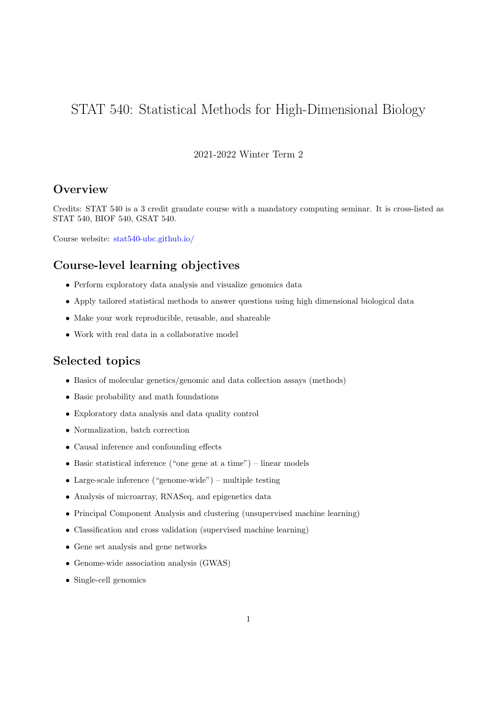# STAT 540: Statistical Methods for High-Dimensional Biology

### 2021-2022 Winter Term 2

# **Overview**

Credits: STAT 540 is a 3 credit graudate course with a mandatory computing seminar. It is cross-listed as STAT 540, BIOF 540, GSAT 540.

Course website: stat540-ubc.github.io/

# Course-level learning objectives

- Perform exploratory data analysis and visualize genomics data
- Apply tailored statistical methods to answer questions using high dimensional biological data
- Make your work reproducible, reusable, and shareable
- Work with real data in a collaborative model

### Selected topics

- Basics of molecular genetics/genomic and data collection assays (methods)
- Basic probability and math foundations
- Exploratory data analysis and data quality control
- Normalization, batch correction
- Causal inference and confounding effects
- Basic statistical inference ("one gene at a time") linear models
- Large-scale inference ("genome-wide") multiple testing
- Analysis of microarray, RNASeq, and epigenetics data
- Principal Component Analysis and clustering (unsupervised machine learning)
- Classification and cross validation (supervised machine learning)
- Gene set analysis and gene networks
- Genome-wide association analysis (GWAS)
- Single-cell genomics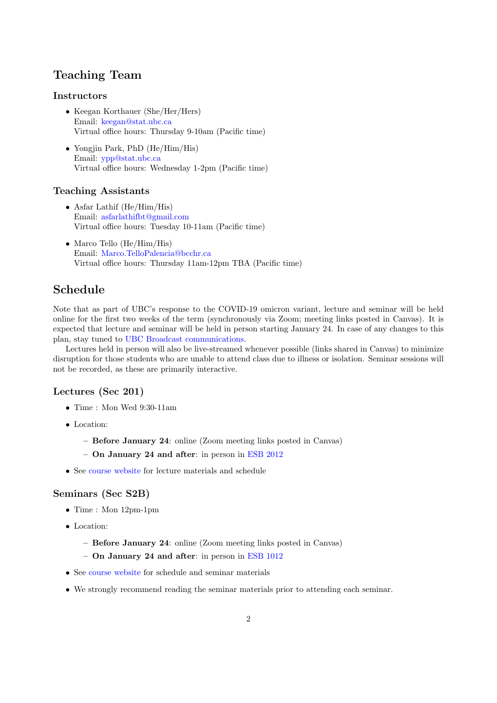# Teaching Team

#### **Instructors**

- Keegan Korthauer (She/Her/Hers) Email: [keegan@stat.ubc.ca](mailto:keegan@stat.ubc.ca) Virtual office hours: Thursday 9-10am (Pacific time)
- Yongjin Park, PhD (He/Him/His) Email: [ypp@stat.ubc.ca](mailto:ypp@stat.ubc.ca) Virtual office hours: Wednesday 1-2pm (Pacific time)

#### Teaching Assistants

- Asfar Lathif (He/Him/His) Email: [asfarlathifbt@gmail.com](mailto:asfarlathifbt@gmail.com) Virtual office hours: Tuesday 10-11am (Pacific time)
- Marco Tello (He/Him/His) Email: [Marco.TelloPalencia@bcchr.ca](mailto:Marco.TelloPalencia@bcchr.ca) Virtual office hours: Thursday 11am-12pm TBA (Pacific time)

# Schedule

Note that as part of UBC's response to the COVID-19 omicron variant, lecture and seminar will be held online for the first two weeks of the term (synchronously via Zoom; meeting links posted in Canvas). It is expected that lecture and seminar will be held in person starting January 24. In case of any changes to this plan, stay tuned to [UBC Broadcast communications.](https://covid19.ubc.ca/)

Lectures held in person will also be live-streamed whenever possible (links shared in Canvas) to minimize disruption for those students who are unable to attend class due to illness or isolation. Seminar sessions will not be recorded, as these are primarily interactive.

#### Lectures (Sec 201)

- Time : Mon Wed 9:30-11am
- Location:
	- Before January 24: online (Zoom meeting links posted in Canvas)
	- On January 24 and after: in person in [ESB 2012](https://ssc.adm.ubc.ca/classroomservices/function/viewlocation?userEvent=ShowLocation&buildingID=ESB&roomID=2012)
- See [course website](https://stat540-ubc.github.io/) for lecture materials and schedule

#### Seminars (Sec S2B)

- Time : Mon 12pm-1pm
- Location:
	- Before January 24: online (Zoom meeting links posted in Canvas)

– On January 24 and after: in person in [ESB 1012](https://ssc.adm.ubc.ca/classroomservices/function/viewlocation?userEvent=ShowLocation&buildingID=ESB&roomID=1012)

- See [course website](https://stat540-ubc.github.io/) for schedule and seminar materials
- We strongly recommend reading the seminar materials prior to attending each seminar.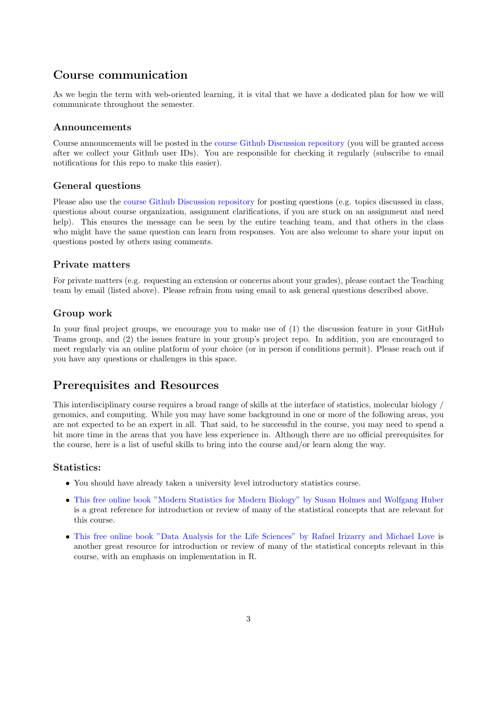# Course communication

As we begin the term with web-oriented learning, it is vital that we have a dedicated plan for how we will communicate throughout the semester.

#### Announcements

Course announcements will be posted in the [course Github Discussion repository](https://github.com/STAT540-UBC/Discussion) (you will be granted access after we collect your Github user IDs). You are responsible for checking it regularly (subscribe to email notifications for this repo to make this easier).

### General questions

Please also use the [course Github Discussion repository](https://github.com/STAT540-UBC/Discussion) for posting questions (e.g. topics discussed in class, questions about course organization, assignment clarifications, if you are stuck on an assignment and need help). This ensures the message can be seen by the entire teaching team, and that others in the class who might have the same question can learn from responses. You are also welcome to share your input on questions posted by others using comments.

#### Private matters

For private matters (e.g. requesting an extension or concerns about your grades), please contact the Teaching team by email (listed above). Please refrain from using email to ask general questions described above.

#### Group work

In your final project groups, we encourage you to make use of (1) the discussion feature in your GitHub Teams group, and (2) the issues feature in your group's project repo. In addition, you are encouraged to meet regularly via an online platform of your choice (or in person if conditions permit). Please reach out if you have any questions or challenges in this space.

### Prerequisites and Resources

This interdisciplinary course requires a broad range of skills at the interface of statistics, molecular biology / genomics, and computing. While you may have some background in one or more of the following areas, you are not expected to be an expert in all. That said, to be successful in the course, you may need to spend a bit more time in the areas that you have less experience in. Although there are no official prerequisites for the course, here is a list of useful skills to bring into the course and/or learn along the way.

#### Statistics:

- You should have already taken a university level introductory statistics course.
- [This free online book "Modern Statistics for Modern Biology" by Susan Holmes and Wolfgang Huber](http://web.stanford.edu/class/bios221/book/) is a great reference for introduction or review of many of the statistical concepts that are relevant for this course.
- [This free online book "Data Analysis for the Life Sciences" by Rafael Irizarry and Michael Love](http://genomicsclass.github.io/book/) is another great resource for introduction or review of many of the statistical concepts relevant in this course, with an emphasis on implementation in R.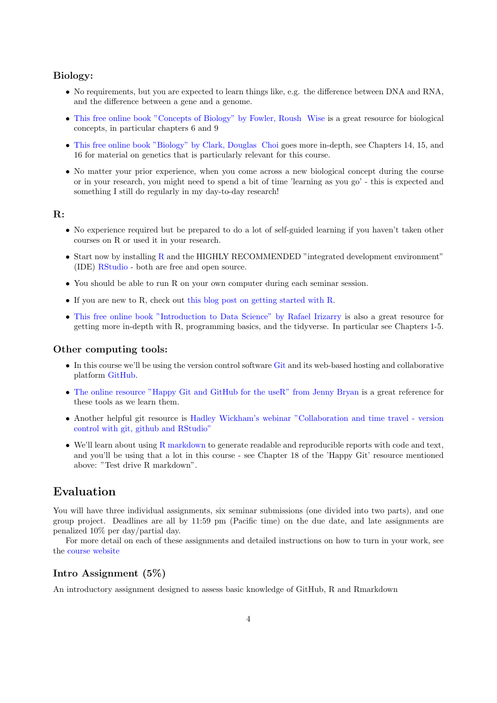#### Biology:

- No requirements, but you are expected to learn things like, e.g. the difference between DNA and RNA, and the difference between a gene and a genome.
- [This free online book "Concepts of Biology" by Fowler, Roush Wise](https://openstax.org/books/concepts-biology/pages/1-introduction) is a great resource for biological concepts, in particular chapters 6 and 9
- [This free online book "Biology" by Clark, Douglas Choi](https://openstax.org/books/biology-2e/pages/1-introduction) goes more in-depth, see Chapters 14, 15, and 16 for material on genetics that is particularly relevant for this course.
- No matter your prior experience, when you come across a new biological concept during the course or in your research, you might need to spend a bit of time 'learning as you go' - this is expected and something I still do regularly in my day-to-day research!

### R:

- No experience required but be prepared to do a lot of self-guided learning if you haven't taken other courses on R or used it in your research.
- Start now by installing [R](https://cran.r-project.org/) and the HIGHLY RECOMMENDED "integrated development environment" (IDE) [RStudio](https://rstudio.com/products/rstudio/download/) - both are free and open source.
- You should be able to run R on your own computer during each seminar session.
- If you are new to R, check out [this blog post on getting started with R.](http://santina.me/Get-started-with-R/)
- [This free online book "Introduction to Data Science" by Rafael Irizarry](https://rafalab.github.io/dsbook/) is also a great resource for getting more in-depth with R, programming basics, and the tidyverse. In particular see Chapters 1-5.

#### Other computing tools:

- In this course we'll be using the version control software [Git](https://en.wikipedia.org/wiki/Git) and its web-based hosting and collaborative platform [GitHub.](https://en.wikipedia.org/wiki/GitHub)
- [The online resource "Happy Git and GitHub for the useR" from Jenny Bryan](https://happygitwithr.com/) is a great reference for these tools as we learn them.
- Another helpful git resource is [Hadley Wickham's webinar "Collaboration and time travel version](https://rstudio.com/resources/webinars/collaboration-and-time-travel-version-control-with-git-github-and-rstudio/) [control with git, github and RStudio"](https://rstudio.com/resources/webinars/collaboration-and-time-travel-version-control-with-git-github-and-rstudio/)
- We'll learn about using  $R$  markdown to generate readable and reproducible reports with code and text, and you'll be using that a lot in this course - see Chapter 18 of the 'Happy Git' resource mentioned above: "Test drive R markdown".

### Evaluation

You will have three individual assignments, six seminar submissions (one divided into two parts), and one group project. Deadlines are all by 11:59 pm (Pacific time) on the due date, and late assignments are penalized 10% per day/partial day.

For more detail on each of these assignments and detailed instructions on how to turn in your work, see the [course website](https://stat540-ubc.github.io/)

#### Intro Assignment (5%)

An introductory assignment designed to assess basic knowledge of GitHub, R and Rmarkdown